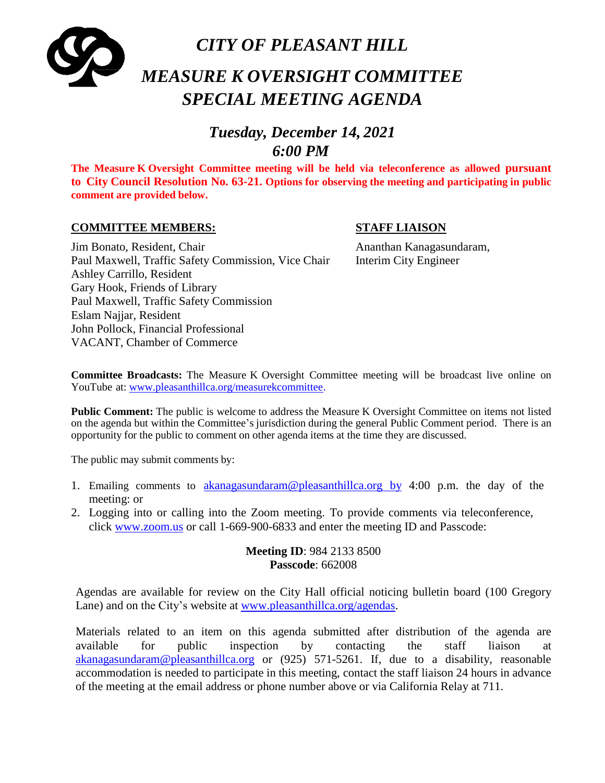

# *MEASURE K OVERSIGHT COMMITTEE SPECIAL MEETING AGENDA*

# *Tuesday, December 14, 2021 6:00 PM*

**The Measure K Oversight Committee meeting will be held via teleconference as allowed pursuant to City Council Resolution No. 63-21. Options for observing the meeting and participating in public comment are provided below.**

#### **COMMITTEE MEMBERS: STAFF LIAISON**

#### Jim Bonato, Resident, Chair Ananthan Kanagasundaram, Paul Maxwell, Traffic Safety Commission, Vice Chair Interim City Engineer Ashley Carrillo, Resident Gary Hook, Friends of Library Paul Maxwell, Traffic Safety Commission Eslam Najjar, Resident John Pollock, Financial Professional VACANT, Chamber of Commerce

**Committee Broadcasts:** The Measure K Oversight Committee meeting will be broadcast live online on YouTube at: [www.pleasanthillca.org/measurekcommittee.](http://www.pleasanthillca.org/measurekcommittee)

**Public Comment:** The public is welcome to address the Measure K Oversight Committee on items not listed on the agenda but within the Committee's jurisdiction during the general Public Comment period. There is an opportunity for the public to comment on other agenda items at the time they are discussed.

The public may submit comments by:

- 1. Emailing comments to [akanagasundaram@pleasanthillca.org](mailto:akanagasundaram@pleasanthillca.org%20%20by) by 4:00 p.m. the day of the meeting: or
- 2. Logging into or calling into the Zoom meeting. To provide comments via teleconference, click [www.zoom.us](http://www.zoom.us/) or call 1-669-900-6833 and enter the meeting ID and Passcode:

**Meeting ID**: 984 2133 8500 **Passcode**: 662008

Agendas are available for review on the City Hall official noticing bulletin board (100 Gregory Lane) and on the City's website at [www.pleasanthillca.org/agendas.](http://www.pleasanthillca.org/agendas)

Materials related to an item on this agenda submitted after distribution of the agenda are available for public inspection by contacting the staff liaison at [akanagasundaram@pleasanthillca.org](mailto:akanagasundaram@pleasanthillca.org) or (925) 571-5261. If, due to a disability, reasonable accommodation is needed to participate in this meeting, contact the staff liaison 24 hours in advance of the meeting at the email address or phone number above or via California Relay at 711.